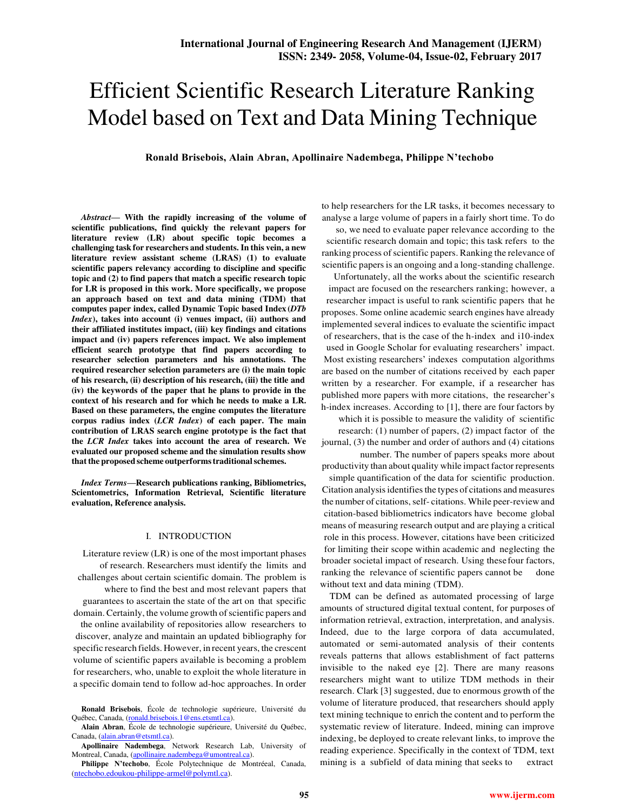# Efficient Scientific Research Literature Ranking Model based on Text and Data Mining Technique

**Ronald Brisebois, Alain Abran, Apollinaire Nadembega, Philippe N'techobo**

*Abstract***— With the rapidly increasing of the volume of scientific publications, find quickly the relevant papers for literature review (LR) about specific topic becomes a challenging task for researchers and students. In this vein, a new literature review assistant scheme (LRAS) (1) to evaluate scientific papers relevancy according to discipline and specific topic and (2) to find papers that match a specific research topic for LR is proposed in this work. More specifically, we propose an approach based on text and data mining (TDM) that computes paper index, called Dynamic Topic based Index (***DTb Index***), takes into account (i) venues impact, (ii) authors and their affiliated institutes impact, (iii) key findings and citations impact and (iv) papers references impact. We also implement efficient search prototype that find papers according to researcher selection parameters and his annotations. The required researcher selection parameters are (i) the main topic of his research, (ii) description of his research, (iii) the title and (iv) the keywords of the paper that he plans to provide in the context of his research and for which he needs to make a LR. Based on these parameters, the engine computes the literature corpus radius index (***LCR Index***) of each paper. The main contribution of LRAS search engine prototype is the fact that the** *LCR Index* **takes into account the area of research. We evaluated our proposed scheme and the simulation results show that the proposed scheme outperforms traditional schemes.** 

*Index Terms***—Research publications ranking, Bibliometrics, Scientometrics, Information Retrieval, Scientific literature evaluation, Reference analysis.** 

## I. INTRODUCTION

Literature review (LR) is one of the most important phases of research. Researchers must identify the limits and challenges about certain scientific domain. The problem is where to find the best and most relevant papers that guarantees to ascertain the state of the art on that specific domain. Certainly, the volume growth of scientific papers and the online availability of repositories allow researchers to discover, analyze and maintain an updated bibliography for specific research fields. However, in recent years, the crescent volume of scientific papers available is becoming a problem for researchers, who, unable to exploit the whole literature in a specific domain tend to follow ad-hoc approaches. In order to help researchers for the LR tasks, it becomes necessary to analyse a large volume of papers in a fairly short time. To do

so, we need to evaluate paper relevance according to the scientific research domain and topic; this task refers to the ranking process of scientific papers. Ranking the relevance of scientific papers is an ongoing and a long-standing challenge.

Unfortunately, all the works about the scientific research impact are focused on the researchers ranking; however, a researcher impact is useful to rank scientific papers that he proposes. Some online academic search engines have already implemented several indices to evaluate the scientific impact of researchers, that is the case of the h-index and i10-index used in Google Scholar for evaluating researchers' impact. Most existing researchers' indexes computation algorithms are based on the number of citations received by each paper written by a researcher. For example, if a researcher has published more papers with more citations, the researcher's h-index increases. According to [1], there are four factors by

which it is possible to measure the validity of scientific research: (1) number of papers, (2) impact factor of the journal, (3) the number and order of authors and (4) citations

number. The number of papers speaks more about productivity than about quality while impact factor represents simple quantification of the data for scientific production. Citation analysis identifies the types of citations and measures the number of citations, self- citations. While peer-review and citation-based bibliometrics indicators have become global means of measuring research output and are playing a critical role in this process. However, citations have been criticized for limiting their scope within academic and neglecting the broader societal impact of research. Using these four factors, ranking the relevance of scientific papers cannot be done without text and data mining (TDM).

TDM can be defined as automated processing of large amounts of structured digital textual content, for purposes of information retrieval, extraction, interpretation, and analysis. Indeed, due to the large corpora of data accumulated, automated or semi-automated analysis of their contents reveals patterns that allows establishment of fact patterns invisible to the naked eye [2]. There are many reasons researchers might want to utilize TDM methods in their research. Clark [3] suggested, due to enormous growth of the volume of literature produced, that researchers should apply text mining technique to enrich the content and to perform the systematic review of literature. Indeed, mining can improve indexing, be deployed to create relevant links, to improve the reading experience. Specifically in the context of TDM, text mining is a subfield of data mining that seeks to extract

**Ronald Brisebois**, École de technologie supérieure, Université du Québec, Canada, (ronald.brisebois.1@ens.etsmtl.ca).

**Alain Abran**, École de technologie supérieure, Université du Québec, Canada, (alain.abran@etsmtl.ca).

**Apollinaire Nadembega**, Network Research Lab, University of Montreal, Canada, (apollinaire.nadembega@umontreal.ca).

**Philippe N'techobo**, École Polytechnique de Montréeal, Canada, (ntechobo.edoukou-philippe-armel@polymtl.ca).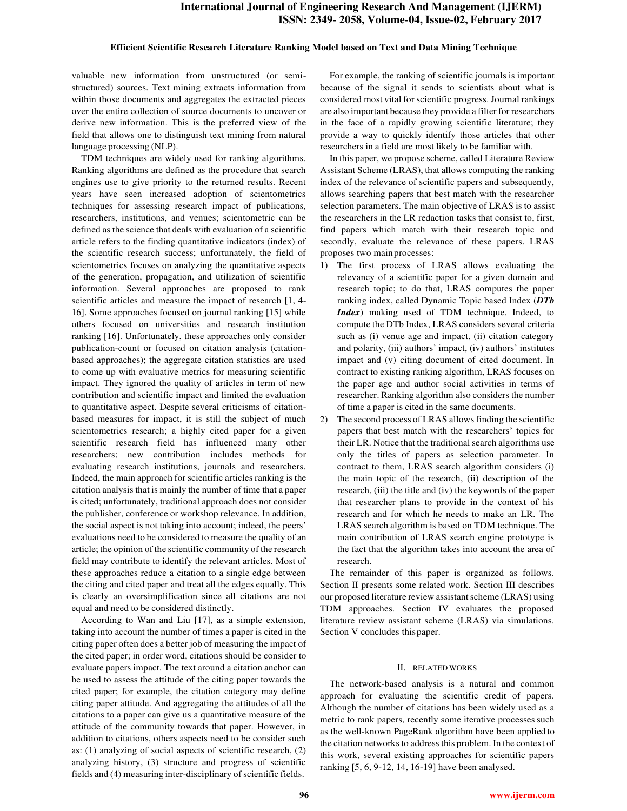#### **Efficient Scientific Research Literature Ranking Model based on Text and Data Mining Technique**

valuable new information from unstructured (or semistructured) sources. Text mining extracts information from within those documents and aggregates the extracted pieces over the entire collection of source documents to uncover or derive new information. This is the preferred view of the field that allows one to distinguish text mining from natural language processing (NLP).

TDM techniques are widely used for ranking algorithms. Ranking algorithms are defined as the procedure that search engines use to give priority to the returned results. Recent years have seen increased adoption of scientometrics techniques for assessing research impact of publications, researchers, institutions, and venues; scientometric can be defined as the science that deals with evaluation of a scientific article refers to the finding quantitative indicators (index) of the scientific research success; unfortunately, the field of scientometrics focuses on analyzing the quantitative aspects of the generation, propagation, and utilization of scientific information. Several approaches are proposed to rank scientific articles and measure the impact of research [1, 4- 16]. Some approaches focused on journal ranking [15] while others focused on universities and research institution ranking [16]. Unfortunately, these approaches only consider publication-count or focused on citation analysis (citationbased approaches); the aggregate citation statistics are used to come up with evaluative metrics for measuring scientific impact. They ignored the quality of articles in term of new contribution and scientific impact and limited the evaluation to quantitative aspect. Despite several criticisms of citationbased measures for impact, it is still the subject of much scientometrics research; a highly cited paper for a given scientific research field has influenced many other researchers; new contribution includes methods for evaluating research institutions, journals and researchers. Indeed, the main approach for scientific articles ranking is the citation analysis that is mainly the number of time that a paper is cited; unfortunately, traditional approach does not consider the publisher, conference or workshop relevance. In addition, the social aspect is not taking into account; indeed, the peers' evaluations need to be considered to measure the quality of an article; the opinion of the scientific community of the research field may contribute to identify the relevant articles. Most of these approaches reduce a citation to a single edge between the citing and cited paper and treat all the edges equally. This is clearly an oversimplification since all citations are not equal and need to be considered distinctly.

According to Wan and Liu [17], as a simple extension, taking into account the number of times a paper is cited in the citing paper often does a better job of measuring the impact of the cited paper; in order word, citations should be consider to evaluate papers impact. The text around a citation anchor can be used to assess the attitude of the citing paper towards the cited paper; for example, the citation category may define citing paper attitude. And aggregating the attitudes of all the citations to a paper can give us a quantitative measure of the attitude of the community towards that paper. However, in addition to citations, others aspects need to be consider such as: (1) analyzing of social aspects of scientific research, (2) analyzing history, (3) structure and progress of scientific fields and (4) measuring inter-disciplinary of scientific fields.

For example, the ranking of scientific journals is important because of the signal it sends to scientists about what is considered most vital for scientific progress. Journal rankings are also important because they provide a filter for researchers in the face of a rapidly growing scientific literature; they provide a way to quickly identify those articles that other researchers in a field are most likely to be familiar with.

In this paper, we propose scheme, called Literature Review Assistant Scheme (LRAS), that allows computing the ranking index of the relevance of scientific papers and subsequently, allows searching papers that best match with the researcher selection parameters. The main objective of LRAS is to assist the researchers in the LR redaction tasks that consist to, first, find papers which match with their research topic and secondly, evaluate the relevance of these papers. LRAS proposes two main processes:

- 1) The first process of LRAS allows evaluating the relevancy of a scientific paper for a given domain and research topic; to do that, LRAS computes the paper ranking index, called Dynamic Topic based Index (*DTb Index*) making used of TDM technique. Indeed, to compute the DTb Index, LRAS considers several criteria such as (i) venue age and impact, (ii) citation category and polarity, (iii) authors' impact, (iv) authors' institutes impact and (v) citing document of cited document. In contract to existing ranking algorithm, LRAS focuses on the paper age and author social activities in terms of researcher. Ranking algorithm also considers the number of time a paper is cited in the same documents.
- 2) The second process of LRAS allows finding the scientific papers that best match with the researchers' topics for their LR. Notice that the traditional search algorithms use only the titles of papers as selection parameter. In contract to them, LRAS search algorithm considers (i) the main topic of the research, (ii) description of the research, (iii) the title and (iv) the keywords of the paper that researcher plans to provide in the context of his research and for which he needs to make an LR. The LRAS search algorithm is based on TDM technique. The main contribution of LRAS search engine prototype is the fact that the algorithm takes into account the area of research.

The remainder of this paper is organized as follows. Section II presents some related work. Section III describes our proposed literature review assistant scheme (LRAS) using TDM approaches. Section IV evaluates the proposed literature review assistant scheme (LRAS) via simulations. Section V concludes this paper.

#### II. RELATED WORKS

The network-based analysis is a natural and common approach for evaluating the scientific credit of papers. Although the number of citations has been widely used as a metric to rank papers, recently some iterative processes such as the well-known PageRank algorithm have been applied to the citation networks to address this problem. In the context of this work, several existing approaches for scientific papers ranking [5, 6, 9-12, 14, 16-19] have been analysed.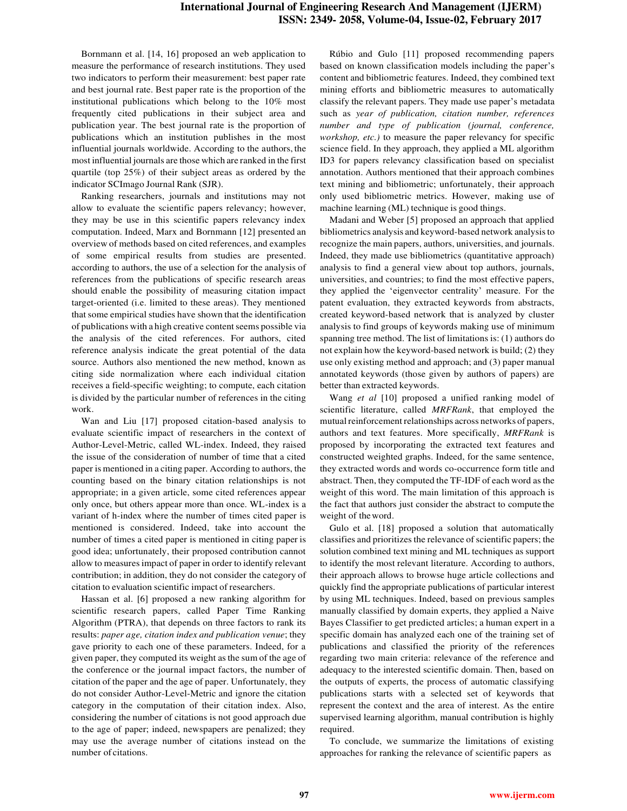Bornmann et al. [14, 16] proposed an web application to measure the performance of research institutions. They used two indicators to perform their measurement: best paper rate and best journal rate. Best paper rate is the proportion of the institutional publications which belong to the 10% most frequently cited publications in their subject area and publication year. The best journal rate is the proportion of publications which an institution publishes in the most influential journals worldwide. According to the authors, the most influential journals are those which are ranked in the first quartile (top 25%) of their subject areas as ordered by the indicator SCImago Journal Rank (SJR).

Ranking researchers, journals and institutions may not allow to evaluate the scientific papers relevancy; however, they may be use in this scientific papers relevancy index computation. Indeed, Marx and Bornmann [12] presented an overview of methods based on cited references, and examples of some empirical results from studies are presented. according to authors, the use of a selection for the analysis of references from the publications of specific research areas should enable the possibility of measuring citation impact target-oriented (i.e. limited to these areas). They mentioned that some empirical studies have shown that the identification of publications with a high creative content seems possible via the analysis of the cited references. For authors, cited reference analysis indicate the great potential of the data source. Authors also mentioned the new method, known as citing side normalization where each individual citation receives a field-specific weighting; to compute, each citation is divided by the particular number of references in the citing work.

Wan and Liu [17] proposed citation-based analysis to evaluate scientific impact of researchers in the context of Author-Level-Metric, called WL-index. Indeed, they raised the issue of the consideration of number of time that a cited paper is mentioned in a citing paper. According to authors, the counting based on the binary citation relationships is not appropriate; in a given article, some cited references appear only once, but others appear more than once. WL-index is a variant of h-index where the number of times cited paper is mentioned is considered. Indeed, take into account the number of times a cited paper is mentioned in citing paper is good idea; unfortunately, their proposed contribution cannot allow to measures impact of paper in order to identify relevant contribution; in addition, they do not consider the category of citation to evaluation scientific impact of researchers.

Hassan et al. [6] proposed a new ranking algorithm for scientific research papers, called Paper Time Ranking Algorithm (PTRA), that depends on three factors to rank its results: *paper age, citation index and publication venue*; they gave priority to each one of these parameters. Indeed, for a given paper, they computed its weight as the sum of the age of the conference or the journal impact factors, the number of citation of the paper and the age of paper. Unfortunately, they do not consider Author-Level-Metric and ignore the citation category in the computation of their citation index. Also, considering the number of citations is not good approach due to the age of paper; indeed, newspapers are penalized; they may use the average number of citations instead on the number of citations.

Rúbio and Gulo [11] proposed recommending papers based on known classification models including the paper's content and bibliometric features. Indeed, they combined text mining efforts and bibliometric measures to automatically classify the relevant papers. They made use paper's metadata such as *year of publication, citation number, references number and type of publication (journal, conference, workshop, etc.)* to measure the paper relevancy for specific science field. In they approach, they applied a ML algorithm ID3 for papers relevancy classification based on specialist annotation. Authors mentioned that their approach combines text mining and bibliometric; unfortunately, their approach only used bibliometric metrics. However, making use of machine learning (ML) technique is good things.

Madani and Weber [5] proposed an approach that applied bibliometrics analysis and keyword-based network analysis to recognize the main papers, authors, universities, and journals. Indeed, they made use bibliometrics (quantitative approach) analysis to find a general view about top authors, journals, universities, and countries; to find the most effective papers, they applied the 'eigenvector centrality' measure. For the patent evaluation, they extracted keywords from abstracts, created keyword-based network that is analyzed by cluster analysis to find groups of keywords making use of minimum spanning tree method. The list of limitations is: (1) authors do not explain how the keyword-based network is build; (2) they use only existing method and approach; and (3) paper manual annotated keywords (those given by authors of papers) are better than extracted keywords.

Wang *et al* [10] proposed a unified ranking model of scientific literature, called *MRFRank*, that employed the mutual reinforcement relationships across networks of papers, authors and text features. More specifically, *MRFRank* is proposed by incorporating the extracted text features and constructed weighted graphs. Indeed, for the same sentence, they extracted words and words co-occurrence form title and abstract. Then, they computed the TF-IDF of each word as the weight of this word. The main limitation of this approach is the fact that authors just consider the abstract to compute the weight of the word.

Gulo et al. [18] proposed a solution that automatically classifies and prioritizes the relevance of scientific papers; the solution combined text mining and ML techniques as support to identify the most relevant literature. According to authors, their approach allows to browse huge article collections and quickly find the appropriate publications of particular interest by using ML techniques. Indeed, based on previous samples manually classified by domain experts, they applied a Naive Bayes Classifier to get predicted articles; a human expert in a specific domain has analyzed each one of the training set of publications and classified the priority of the references regarding two main criteria: relevance of the reference and adequacy to the interested scientific domain. Then, based on the outputs of experts, the process of automatic classifying publications starts with a selected set of keywords that represent the context and the area of interest. As the entire supervised learning algorithm, manual contribution is highly required.

To conclude, we summarize the limitations of existing approaches for ranking the relevance of scientific papers as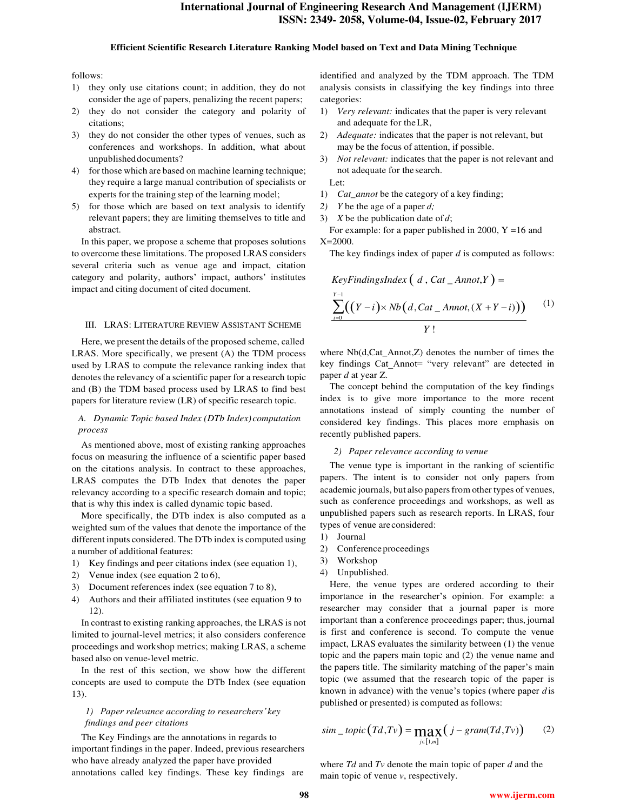#### **Efficient Scientific Research Literature Ranking Model based on Text and Data Mining Technique**

#### follows:

- 1) they only use citations count; in addition, they do not consider the age of papers, penalizing the recent papers;
- 2) they do not consider the category and polarity of citations;
- 3) they do not consider the other types of venues, such as conferences and workshops. In addition, what about unpublished documents?
- 4) for those which are based on machine learning technique; they require a large manual contribution of specialists or experts for the training step of the learning model;
- 5) for those which are based on text analysis to identify relevant papers; they are limiting themselves to title and abstract.

In this paper, we propose a scheme that proposes solutions to overcome these limitations. The proposed LRAS considers several criteria such as venue age and impact, citation category and polarity, authors' impact, authors' institutes impact and citing document of cited document.

#### III. LRAS: LITERATURE REVIEW ASSISTANT SCHEME

Here, we present the details of the proposed scheme, called LRAS. More specifically, we present (A) the TDM process used by LRAS to compute the relevance ranking index that denotes the relevancy of a scientific paper for a research topic and (B) the TDM based process used by LRAS to find best papers for literature review (LR) of specific research topic.

## *A. Dynamic Topic based Index (DTb Index) computation process*

As mentioned above, most of existing ranking approaches focus on measuring the influence of a scientific paper based on the citations analysis. In contract to these approaches, LRAS computes the DTb Index that denotes the paper relevancy according to a specific research domain and topic; that is why this index is called dynamic topic based.

More specifically, the DTb index is also computed as a weighted sum of the values that denote the importance of the different inputs considered. The DTb index is computed using a number of additional features:

- 1) Key findings and peer citations index (see equation 1),
- 2) Venue index (see equation 2 to 6),
- 3) Document references index (see equation 7 to 8),
- 4) Authors and their affiliated institutes (see equation 9 to 12).

In contrast to existing ranking approaches, the LRAS is not limited to journal-level metrics; it also considers conference proceedings and workshop metrics; making LRAS, a scheme based also on venue-level metric.

In the rest of this section, we show how the different concepts are used to compute the DTb Index (see equation 13).

## *1) Paper relevance according to researchers' key findings and peer citations*

The Key Findings are the annotations in regards to important findings in the paper. Indeed, previous researchers who have already analyzed the paper have provided annotations called key findings. These key findings are identified and analyzed by the TDM approach. The TDM analysis consists in classifying the key findings into three categories:

- 1) *Very relevant:* indicates that the paper is very relevant and adequate for the LR,
- 2) *Adequate:* indicates that the paper is not relevant, but may be the focus of attention, if possible.
- 3) *Not relevant:* indicates that the paper is not relevant and not adequate for the search.

Let:

- 1) *Cat\_annot* be the category of a key finding;
- *2) Y* be the age of a paper *d;*
- 3) *X* be the publication date of *d*;

For example: for a paper published in 2000,  $Y = 16$  and X=2000.

The key findings index of paper *d* is computed as follows:

$$
KeyFindingsIndex\left(d, Cat\_Annot, Y\right) = \frac{Y-1}{\sum_{i=0}^{Y-1} \left(\frac{Y-i}{X} \times Nb\left(d, Cat\_Annot, (X+Y-i)\right)\right)} \qquad (1)
$$

where Nb(d,Cat\_Annot,Z) denotes the number of times the key findings Cat\_Annot= "very relevant" are detected in paper *d* at year Z.

The concept behind the computation of the key findings index is to give more importance to the more recent annotations instead of simply counting the number of considered key findings. This places more emphasis on recently published papers.

# *2) Paper relevance according to venue*

The venue type is important in the ranking of scientific papers. The intent is to consider not only papers from academic journals, but also papers from other types of venues, such as conference proceedings and workshops, as well as unpublished papers such as research reports. In LRAS, four types of venue are considered:

- 1) Journal
- 2) Conference proceedings
- 3) Workshop
- 4) Unpublished.

Here, the venue types are ordered according to their importance in the researcher's opinion. For example: a researcher may consider that a journal paper is more important than a conference proceedings paper; thus, journal is first and conference is second. To compute the venue impact, LRAS evaluates the similarity between (1) the venue topic and the papers main topic and (2) the venue name and the papers title. The similarity matching of the paper's main topic (we assumed that the research topic of the paper is known in advance) with the venue's topics (where paper *d* is published or presented) is computed as follows:

$$
sim\_topic(Td, Tv) = \max_{j \in [1,m]} (j - gram(Td, Tv)) \qquad (2)
$$

where *Td* and *Tv* denote the main topic of paper *d* and the main topic of venue *v*, respectively.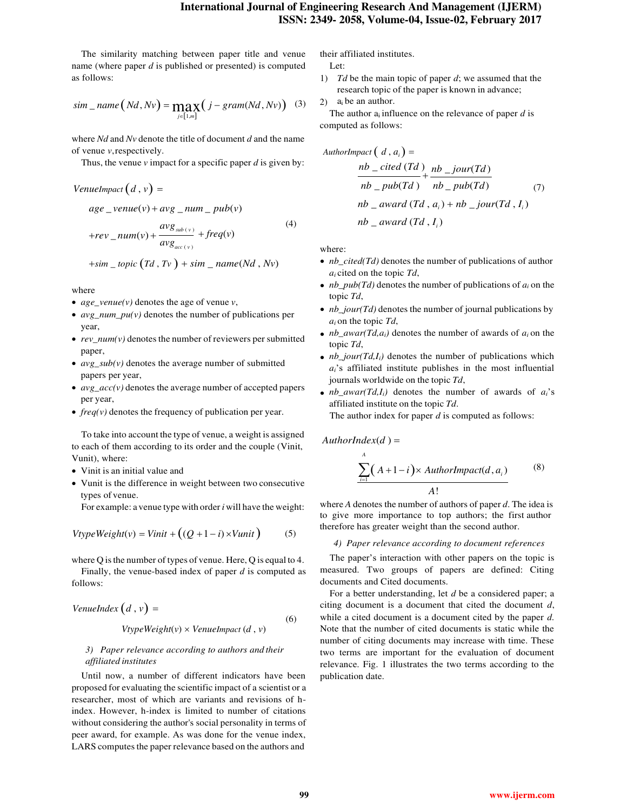The similarity matching between paper title and venue name (where paper *d* is published or presented) is computed as follows:

$$
sim\_name(Nd, Nv) = \max_{j \in [1,m]} (j-gram(Nd, Nv))
$$
 (3)

where *Nd* and *Nv* denote the title of document *d* and the name of venue *v*, respectively.

Thus, the venue  $\nu$  impact for a specific paper  $d$  is given by:

$$
age\_venue(v) + avg\_num\_pub(v)
$$
  
+
$$
rev\_num(v) + \frac{avg_{sub(v)}}{avg_{acc(v)}} + freq(v)
$$
  
+
$$
sim\_topic(Td, Tv) + sim\_name(Nd, Nv)
$$
 where:

where

*VenueImpact*  $(d, v) =$ 

- *age\_venue(v)* denotes the age of venue *v*,
- *avg\_num\_pu(v)* denotes the number of publications per year,
- *rev\_num(v)* denotes the number of reviewers per submitted paper,
- *avg\_sub(v)* denotes the average number of submitted papers per year,
- *avg\_acc(v)* denotes the average number of accepted papers per year,
- *freq(v)* denotes the frequency of publication per year.

To take into account the type of venue, a weight is assigned to each of them according to its order and the couple (Vinit, Vunit), where:

- Vinit is an initial value and
- Vunit is the difference in weight between two consecutive types of venue.

$$
VtypeWeight(v) = Vinit + ((Q + 1 - i) \times Vunit)
$$
 (5)

where Q is the number of types of venue. Here, Q is equal to 4.

Finally, the venue-based index of paper *d* is computed as follows:

$$
Venuelndex (d, v) =
$$
\n(6)

$$
VtypeWeight(v) \times Venuelmpact(d, v)
$$

# *3) Paper relevance according to authors and their affiliated institutes*

Until now, a number of different indicators have been proposed for evaluating the scientific impact of a scientist or a researcher, most of which are variants and revisions of hindex. However, h-index is limited to number of citations without considering the author's social personality in terms of peer award, for example. As was done for the venue index, LARS computes the paper relevance based on the authors and

their affiliated institutes.

Let:

- 1) *Td* be the main topic of paper *d*; we assumed that the research topic of the paper is known in advance;
- 2)  $a_i$  be an author.

The author  $a_i$  influence on the relevance of paper  $d$  is computed as follows:

AuthorImage of 
$$
(d, a_i)
$$
 =

\n
$$
\frac{nb\_cited\left(Td\right)}{nb\_pub\left(Td\right)} + \frac{nb\_jour\left(Td\right)}{nb\_pub\left(Td\right)} \tag{7}
$$
\n
$$
nb\_award\left(Td\right), a_i) + nb\_jour\left(Td\right), I_i)
$$
\n
$$
nb\_award\left(Td\right), I_i)
$$

- *nb\_cited(Td)* denotes the number of publications of author *ai* cited on the topic *Td*,
- $nb\_pub(Td)$  denotes the number of publications of  $a_i$  on the topic *Td*,
- *nb\_jour(Td)* denotes the number of journal publications by *ai* on the topic *Td*,
- *nb\_awar(Td,a<sub>i</sub>*) denotes the number of awards of  $a_i$  on the topic *Td*,
- *nb\_jour(Td,I<sub>i</sub>*) denotes the number of publications which *ai*'s affiliated institute publishes in the most influential journals worldwide on the topic *Td*,
- $nb_$ *awar*(*Td,I<sub>i</sub>*) denotes the number of awards of  $a_i$ 's affiliated institute on the topic *Td*.

The author index for paper *d* is computed as follows:

 $AuthorIndex(d) =$ *A* 

$$
\sum_{i=1} (A+1-i) \times AuthorImport(d, a_i)
$$
 (8)  
A!

For example: a venue type with order *i* will have the weight: where *A* denotes the number of authors of paper *d*. The idea is to give more importance to top authors; the first author therefore has greater weight than the second author.

#### *4) Paper relevance according to document references*

The paper's interaction with other papers on the topic is measured. Two groups of papers are defined: Citing documents and Cited documents.

For a better understanding, let *d* be a considered paper; a citing document is a document that cited the document *d*, while a cited document is a document cited by the paper *d.*  Note that the number of cited documents is static while the number of citing documents may increase with time. These two terms are important for the evaluation of document relevance. Fig. 1 illustrates the two terms according to the publication date.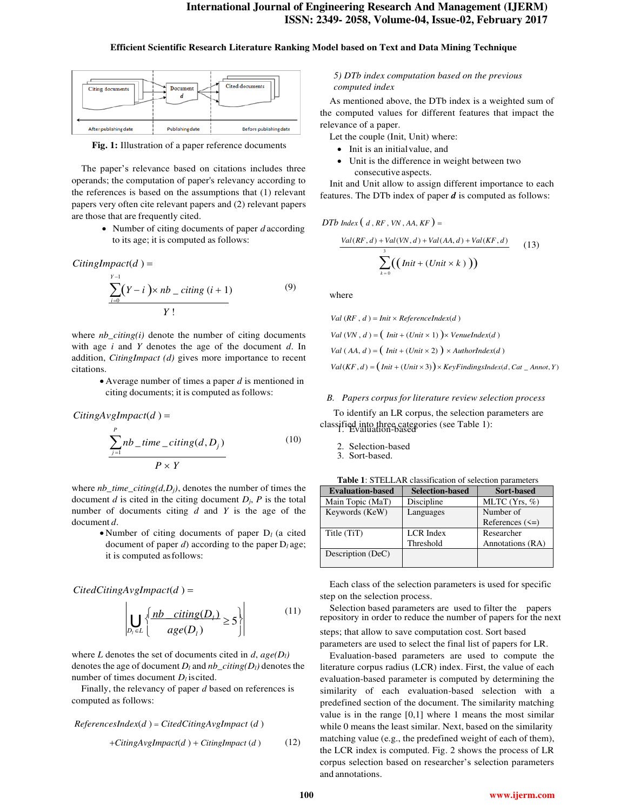#### **Efficient Scientific Research Literature Ranking Model based on Text and Data Mining Technique**



**Fig. 1:** Illustration of a paper reference documents

The paper's relevance based on citations includes three operands; the computation of paper's relevancy according to the references is based on the assumptions that (1) relevant papers very often cite relevant papers and (2) relevant papers are those that are frequently cited.

> Number of citing documents of paper *d* according to its age; it is computed as follows:

 $Citing Impact(d) =$  $Y - 1$  $\sum_{i=0}^{n} (Y - i) \times nb \_ \c{citing} \ (i + 1)$ *Y* ! (9)

where *nb\_citing(i)* denote the number of citing documents with age *i* and *Y* denotes the age of the document *d*. In addition, *CitingImpact (d)* gives more importance to recent citations.

> Average number of times a paper *d* is mentioned in citing documents; it is computed as follows:

$$
CitingAvgImport(d) =
$$

$$
\frac{\sum_{j=1}^{P} nb\_time\_citing(d, D_j)}{P \times Y}
$$
\n(10)

where *nb\_time\_citing(d,Dj)*, denotes the number of times the document *d* is cited in the citing document  $D_i$ ,  $P$  is the total number of documents citing *d* and *Y* is the age of the document *d*.

> Number of citing documents of paper D*l* (a cited document of paper *d*) according to the paper D*l* age; it is computed as follows:

## *CitedCitingAvgImpact*(*d* )

$$
\left| \bigcup_{D_i \in L} \left\{ \frac{nb \ \ \text{citing}(D_i)}{\text{age}(D_i)} \ge 5 \right\} \right| \tag{11}
$$

where *L* denotes the set of documents cited in *d*,  $age(D_l)$ denotes the age of document  $D_l$  and  $nb\_citing(D_l)$  denotes the number of times document  $D_l$  is cited.

Finally, the relevancy of paper *d* based on references is computed as follows:

*ReferencesIndex*(*d* ) *CitedCitingAvgImpact* (*d* )

## *5) DTb index computation based on the previous computed index*

As mentioned above, the DTb index is a weighted sum of the computed values for different features that impact the relevance of a paper.

- Let the couple (Init, Unit) where:
- Init is an initial value, and
- Unit is the difference in weight between two consecutive aspects.

Init and Unit allow to assign different importance to each features. The DTb index of paper *d* is computed as follows:

$$
D T b \text{ Index} (d, RF, VN, AA, K F) =
$$
\n
$$
\frac{Val(RF,d) + Val(VN,d) + Val(AA,d) + Val(KF,d)}{s} \qquad (13)
$$
\n
$$
\sum_{k=0}^{3} ((\text{Init} + (\text{Unit} \times k)))
$$

where

 $Val(RF, d) = Init \times ReferenceIndex(d)$ 

*Val*  $(VN, d) = (Init + (Unit \times 1)) \times V$ *enueIndex(d)* 

 $Val (AA, d) = (Init + (Unit \times 2)) \times AuthorIndex(d)$ 

 $Val(KF, d) = (Init + (Unit \times 3)) \times KeyFindingsIndex(d, Cat \_ Annot, Y)$ 

#### *B. Papers corpus for literature review selection process*

To identify an LR corpus, the selection parameters are classified into three categories (see Table 1): 1. Evaluation-based

- 2. Selection-based
- 3. Sort-based.

| <b>Table 1: STELLAR classification of selection parameters</b> |  |
|----------------------------------------------------------------|--|
|----------------------------------------------------------------|--|

| <b>Evaluation-based</b> | <b>Selection-based</b> | Sort-based          |
|-------------------------|------------------------|---------------------|
| Main Topic (MaT)        | Discipline             | MLTC $(Yrs, %$      |
| Keywords (KeW)          | Languages              | Number of           |
|                         |                        | References $(\leq)$ |
| Title (TiT)             | LCR Index              | Researcher          |
|                         | Threshold              | Annotations (RA)    |
| Description (DeC)       |                        |                     |

Each class of the selection parameters is used for specific step on the selection process.

Selection based parameters are used to filter the papers repository in order to reduce the number of papers for the next

*steps*; that allow to save computation cost. Sort based parameters are used to select the final list of papers for LR.

Evaluation-based parameters are used to compute the literature corpus radius (LCR) index. First, the value of each evaluation-based parameter is computed by determining the similarity of each evaluation-based selection with a predefined section of the document. The similarity matching value is in the range [0,1] where 1 means the most similar while 0 means the least similar. Next, based on the similarity *CitingAvgImpact*(*d*) + *CitingImpact* (*d*) (12) matching value (e.g., the predefined weight of each of them), the LCR index is computed. Fig. 2 shows the process of LR corpus selection based on researcher's selection parameters and annotations.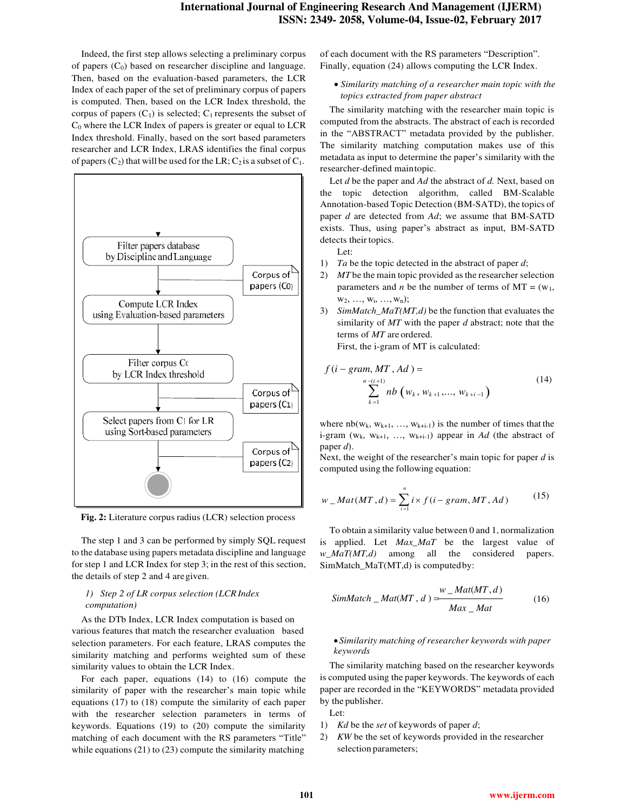Indeed, the first step allows selecting a preliminary corpus of papers  $(C_0)$  based on researcher discipline and language. Then, based on the evaluation-based parameters, the LCR Index of each paper of the set of preliminary corpus of papers is computed. Then, based on the LCR Index threshold, the corpus of papers  $(C_1)$  is selected;  $C_1$  represents the subset of  $C_0$  where the LCR Index of papers is greater or equal to LCR Index threshold. Finally, based on the sort based parameters researcher and LCR Index, LRAS identifies the final corpus of papers  $(C_2)$  that will be used for the LR;  $C_2$  is a subset of  $C_1$ .



**Fig. 2:** Literature corpus radius (LCR) selection process

The step 1 and 3 can be performed by simply SQL request to the database using papers metadata discipline and language for step 1 and LCR Index for step 3; in the rest of this section, the details of step 2 and 4 are given.

# *1) Step 2 of LR corpus selection (LCR Index computation)*

As the DTb Index, LCR Index computation is based on various features that match the researcher evaluation based selection parameters. For each feature, LRAS computes the similarity matching and performs weighted sum of these similarity values to obtain the LCR Index.

For each paper, equations (14) to (16) compute the similarity of paper with the researcher's main topic while equations (17) to (18) compute the similarity of each paper with the researcher selection parameters in terms of keywords. Equations (19) to (20) compute the similarity matching of each document with the RS parameters "Title" while equations (21) to (23) compute the similarity matching

of each document with the RS parameters "Description". Finally, equation (24) allows computing the LCR Index.

 *Similarity matching of a researcher main topic with the topics extracted from paper abstract*

The similarity matching with the researcher main topic is computed from the abstracts. The abstract of each is recorded in the "ABSTRACT" metadata provided by the publisher. The similarity matching computation makes use of this metadata as input to determine the paper's similarity with the researcher-defined main topic.

Let *d* be the paper and *Ad* the abstract of *d.* Next, based on the topic detection algorithm, called BM-Scalable Annotation-based Topic Detection (BM-SATD), the topics of paper *d* are detected from *Ad*; we assume that BM-SATD exists. Thus, using paper's abstract as input, BM-SATD detects their topics.

- Let:
- 1) *Ta* be the topic detected in the abstract of paper *d*;
- 2) *MT* be the main topic provided as the researcher selection parameters and *n* be the number of terms of  $MT = (w_1,$  $W_2, \ldots, W_i, \ldots, W_n);$
- 3) *SimMatch\_MaT(MT,d)* be the function that evaluates the similarity of *MT* with the paper *d* abstract; note that the terms of *MT* are ordered.

First, the i-gram of MT is calculated:

$$
f(i - gram, MT, Ad) =
$$
  

$$
\sum_{k=1}^{n-(i+1)} nb(w_k, w_{k+1}, ..., w_{k+i-1})
$$
 (14)

where  $nb(w_k, w_{k+1}, ..., w_{k+i-1})$  is the number of times that the i-gram  $(w_k, w_{k+1}, ..., w_{k+i-1})$  appear in *Ad* (the abstract of paper *d*).

Next, the weight of the researcher's main topic for paper *d* is computed using the following equation:

$$
w\_Mat(MT,d) = \sum_{i=1}^{n} i \times f(i-gram, MT, Ad)
$$
 (15)

To obtain a similarity value between 0 and 1, normalization is applied. Let *Max\_MaT* be the largest value of *w\_MaT(MT,d)* among all the considered papers. SimMatch\_MaT(MT,d) is computed by:

$$
SimMatch\_Mat(MT, d) = \frac{w\_Mat(MT, d)}{Max\_Mat}
$$
 (16)

## *Similarity matching of researcher keywords with paper keywords*

The similarity matching based on the researcher keywords is computed using the paper keywords. The keywords of each paper are recorded in the "KEYWORDS" metadata provided by the publisher.

- Let:
- 1) *Kd* be the *set* of keywords of paper *d*;
- 2) *KW* be the set of keywords provided in the researcher selection parameters;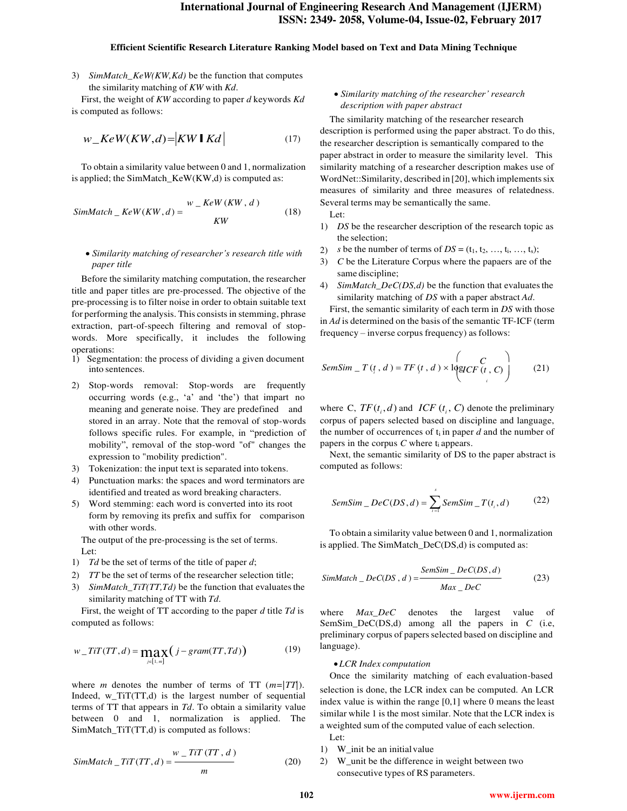#### **Efficient Scientific Research Literature Ranking Model based on Text and Data Mining Technique**

3) *SimMatch\_KeW(KW,Kd)* be the function that computes the similarity matching of *KW* with *Kd*.

First, the weight of *KW* according to paper *d* keywords *Kd* is computed as follows:

$$
w\_KeW(KW,d) = |KW \, \mathbf{I} \, Kd| \tag{17}
$$

To obtain a similarity value between 0 and 1, normalization is applied; the SimMatch\_KeW(KW,d) is computed as:

$$
SimMatch\_KeW(KW, d) = \frac{W - KeW(KW, d)}{KW}
$$
 (18)

## *Similarity matching of researcher's research title with paper title*

Before the similarity matching computation, the researcher title and paper titles are pre-processed. The objective of the pre-processing is to filter noise in order to obtain suitable text for performing the analysis. This consists in stemming, phrase extraction, part-of-speech filtering and removal of stopwords. More specifically, it includes the following operations:

- 1) Segmentation: the process of dividing a given document into sentences. *SemSim*  $T(t, d) = TF(t, d) \times \log CCF(t, C)$
- 2) Stop-words removal: Stop-words are frequently occurring words (e.g., 'a' and 'the') that impart no meaning and generate noise. They are predefined and stored in an array. Note that the removal of stop-words follows specific rules. For example, in "prediction of mobility", removal of the stop-word "of" changes the expression to "mobility prediction".
- 3) Tokenization: the input text is separated into tokens.
- 4) Punctuation marks: the spaces and word terminators are identified and treated as word breaking characters.
- 5) Word stemming: each word is converted into its root form by removing its prefix and suffix for comparison with other words.

The output of the pre-processing is the set of terms. Let:

- 1) *Td* be the set of terms of the title of paper *d*;
- 2) *TT* be the set of terms of the researcher selection title;
- 3) *SimMatch\_TiT(TT,Td)* be the function that evaluates the similarity matching of TT with *Td*.

First, the weight of TT according to the paper *d* title *Td* is computed as follows:

$$
w\_TiT(TT,d) = \max_{j \in [1,m]} \left( j - gram(TT, Td) \right) \tag{19}
$$

where *m* denotes the number of terms of TT (*m=|TT|*). Indeed, w\_TiT(TT,d) is the largest number of sequential terms of TT that appears in *Td*. To obtain a similarity value between 0 and 1, normalization is applied. The SimMatch TiT(TT,d) is computed as follows:

$$
SimMatch\_TiT(TT, d) = \frac{w\_TiT(TT, d)}{m}
$$
 (20)

## *Similarity matching of the researcher' research description with paper abstract*

The similarity matching of the researcher research *w*\_ $Kew(KW,d) = |KW \rceil Kd$  (17) the similarity matching of the researcher research description is performed using the paper abstract. To do this, the researcher description is semantically compared to the paper abstract in order to measure the similarity level. This similarity matching of a researcher description makes use of WordNet::Similarity, described in [20], which implements six measures of similarity and three measures of relatedness. Several terms may be semantically the same.

Let:

- 1) *DS* be the researcher description of the research topic as the selection;
- 2) *s* be the number of terms of  $DS = (t_1, t_2, ..., t_i, ..., t_s);$
- 3) *C* be the Literature Corpus where the papaers are of the same discipline;
- 4) *SimMatch\_DeC(DS,d)* be the function that evaluates the similarity matching of *DS* with a paper abstract *Ad*.

First, the semantic similarity of each term in *DS* with those in *Ad* is determined on the basis of the semantic TF-ICF (term frequency – inverse corpus frequency) as follows:

$$
SemSim \_ T(t, d) = TF(t, d) \times \text{logICF}(t, C) \tag{21}
$$

 $I_i$ , *d*) and *ICF* ( $t_i$ , *C*) denote the preliminary corpus of papers selected based on discipline and language, the number of occurrences of  $t_i$  in paper  $d$  and the number of papers in the corpus *C* where t<sub>i</sub> appears.

Next, the semantic similarity of DS to the paper abstract is computed as follows:

$$
SemSim\_Dec(DS, d) = \sum_{i=1}^{s} SemSim\_T(t_i, d)
$$
 (22)

To obtain a similarity value between 0 and 1, normalization is applied. The SimMatch\_DeC(DS,d) is computed as:

$$
SimMatch\_Dec(DS, d) = \frac{SemSim\_Dec(DS, d)}{Max\_Dec}
$$
 (23)

where *Max\_DeC* denotes the largest value of SemSim\_DeC(DS,d) among all the papers in *C* (i.e, preliminary corpus of papers selected based on discipline and language).

#### *LCR Index computation*

Once the similarity matching of each evaluation-based selection is done, the LCR index can be computed. An LCR index value is within the range [0,1] where 0 means the least similar while 1 is the most similar. Note that the LCR index is a weighted sum of the computed value of each selection. Let:

- 1) W\_init be an initial value
- 2) W\_unit be the difference in weight between two consecutive types of RS parameters.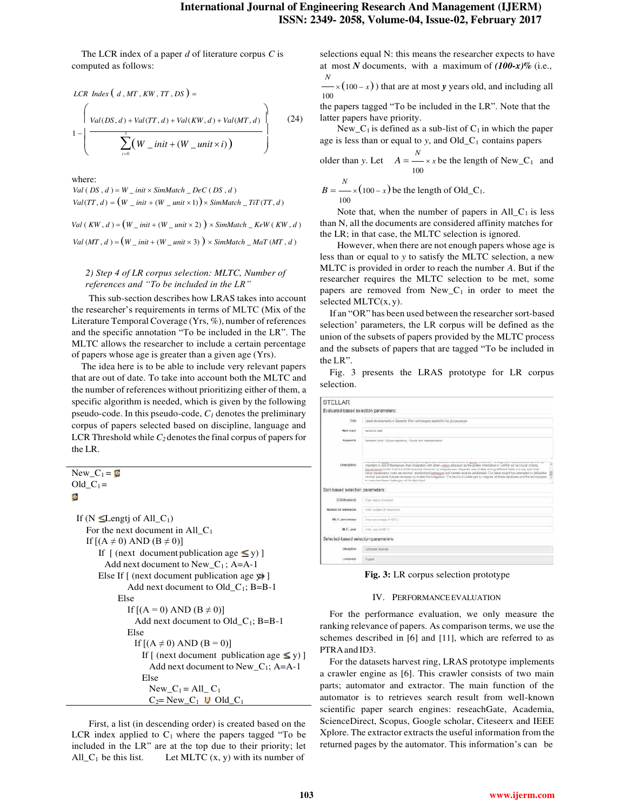The LCR index of a paper *d* of literature corpus *C* is computed as follows:

$$
LCR Index (d, MT, KW, TT, DS) =
$$
\n
$$
\left\{\n\frac{Val(DS, d) + Val(TT, d) + Val(KW, d) + Val(MT, d)}{log(DS, d) + Val(TT, d) + Val(KW, d))}\n\right\}
$$
\n(24)

where:

 $Val(DS, d) = W \_ init \times SimMatch \_ Dec(CDS, d)$  $Val(TT, d) = (W \text{ } \text{ } \text{ } init + (W \text{ } \text{ } \text{ } unit \times 1)) \times SimMatch \text{ } \text{ } \text{ } TiT(TT, d)$ 

 $Val(KW, d) = (W\_init + (W\_unit \times 2)) \times SimMatch\_Kew(KW, d)$ 

 $Val(MT, d) = (W \_ init + (W \_ unit \times 3)) \times SimMatch \_ Mat(T(MT, d))$ 

# *2) Step 4 of LR corpus selection: MLTC, Number of references and "To be included in the LR"*

This sub-section describes how LRAS takes into account the researcher's requirements in terms of MLTC (Mix of the Literature Temporal Coverage (Yrs, %), number of references and the specific annotation "To be included in the LR". The MLTC allows the researcher to include a certain percentage of papers whose age is greater than a given age (Yrs).

The idea here is to be able to include very relevant papers that are out of date. To take into account both the MLTC and the number of references without prioritizing either of them, a specific algorithm is needed, which is given by the following pseudo-code. In this pseudo-code, *C1* denotes the preliminary corpus of papers selected based on discipline, language and LCR Threshold while *C2* denotes the final corpus of papers for the LR.

$$
New_C_1 = \mathbf{C}
$$
  
Old\_C<sub>1</sub> =

```
If (N \leqLengtj of All_C<sub>1</sub>)
For the next document in All\_C_1If [(A \neq 0) AND (B \neq 0)]If [ (next document publication age \leq y) ]
      Add next document to New_C_1; A=A-1
    Else If \lceil (next document publication age \mathbf{\psi}) \rceilAdd next document to Old_C_1; B=B-1
          Else
             If [(A = 0) AND (B \neq 0)]Add next document to Old\llcornerC<sub>1</sub>; B=B-1
             Else
               If [(A \neq 0) AND (B = 0)]If [ (next document publication age \leq y)]
                   Add next document to New_C1; A=A-1
                 Else
                   New C_1 = All \ C_1C_2= New_C<sub>1</sub> U Old_C<sub>1</sub>
```
First, a list (in descending order) is created based on the LCR index applied to  $C_1$  where the papers tagged "To be included in the LR" are at the top due to their priority; let All  $C_1$  be this list. Let MLTC  $(x, y)$  with its number of

selections equal N: this means the researcher expects to have at most *N* documents, with a maximum of *(100-x)%* (i.e., *N* 

 $\times (100 - x)$ ) that are at most *y* years old, and including all 100

the papers tagged "To be included in the LR". Note that the latter papers have priority.

New<sub>-C<sub>1</sub></sub> is defined as a sub-list of  $C_1$  in which the paper age is less than or equal to *y*, and Old\_C1 contains papers

older than y. Let 
$$
A = \frac{N}{100} \times x
$$
 be the length of New\_C<sub>1</sub> and

$$
B = \frac{N}{100} \times (100 - x)
$$
 be the length of Old\_C<sub>1</sub>.

Note that, when the number of papers in  $All\_C_1$  is less than N, all the documents are considered affinity matches for the LR; in that case, the MLTC selection is ignored.

However, when there are not enough papers whose age is less than or equal to *y* to satisfy the MLTC selection, a new MLTC is provided in order to reach the number *A*. But if the researcher requires the MLTC selection to be met, some papers are removed from  $New_C_1$  in order to meet the selected  $MLTC(x, y)$ .

If an "OR" has been used between the researcher sort-based selection' parameters, the LR corpus will be defined as the union of the subsets of papers provided by the MLTC process and the subsets of papers that are tagged "To be included in the LR".

Fig. 3 presents the LRAS prototype for LR corpus selection.

| STELLAR                               |                                                                                                                                                                                                                                                                                                                                                                                                                                                                                                                                                                                                                                                                                                                                                                                    |
|---------------------------------------|------------------------------------------------------------------------------------------------------------------------------------------------------------------------------------------------------------------------------------------------------------------------------------------------------------------------------------------------------------------------------------------------------------------------------------------------------------------------------------------------------------------------------------------------------------------------------------------------------------------------------------------------------------------------------------------------------------------------------------------------------------------------------------|
| Evaluated-based selection parameters: |                                                                                                                                                                                                                                                                                                                                                                                                                                                                                                                                                                                                                                                                                                                                                                                    |
| trav                                  | Land developments at Sumartic Wals individupes applied to the glycoposters                                                                                                                                                                                                                                                                                                                                                                                                                                                                                                                                                                                                                                                                                                         |
| <b>Main Stevid</b>                    | stemptor salt                                                                                                                                                                                                                                                                                                                                                                                                                                                                                                                                                                                                                                                                                                                                                                      |
| <b>Keywords</b>                       | femants Web, Glutan repeating. Global feet representation                                                                                                                                                                                                                                                                                                                                                                                                                                                                                                                                                                                                                                                                                                                          |
| 13/niciation                          | service and concern and al-<br>a game, because of spinning at oursely wounded demands constructed by galaxy or interest. The map's and<br>modunt in and of the manusia. They magnetize with other-coves data well as the person internation in 18/Foct will be challed in being<br>afailed ernes to the Trentiert of the sciences. However to integrate work disparate were of data where a different fields in a were such that<br>Adunct machinizing costs and microsof, standardized gethingers and hamilic must be established. Cus briest project has attempted to define the<br>enimal standards that are reversion to enable Healthquaton. The lechinal challenges to vergrate all there databases and the technologies. To<br>to summons them studences, will be determed. |
| Son-based selection parameters:       |                                                                                                                                                                                                                                                                                                                                                                                                                                                                                                                                                                                                                                                                                                                                                                                    |
| <b>LCR</b> threshold                  | Titat men's Freehold.                                                                                                                                                                                                                                                                                                                                                                                                                                                                                                                                                                                                                                                                                                                                                              |
| Number of winnington                  | Internative of television                                                                                                                                                                                                                                                                                                                                                                                                                                                                                                                                                                                                                                                                                                                                                          |
| 05/19<br>M. IC genceralage            | Timer part stronge of MUTO                                                                                                                                                                                                                                                                                                                                                                                                                                                                                                                                                                                                                                                                                                                                                         |
| M.T. year                             | future user of RESE.                                                                                                                                                                                                                                                                                                                                                                                                                                                                                                                                                                                                                                                                                                                                                               |
| Selected-based selection parameters:  |                                                                                                                                                                                                                                                                                                                                                                                                                                                                                                                                                                                                                                                                                                                                                                                    |
| Distinctive                           | Corollar scienza                                                                                                                                                                                                                                                                                                                                                                                                                                                                                                                                                                                                                                                                                                                                                                   |
| Lincowage                             | <b>Traini</b>                                                                                                                                                                                                                                                                                                                                                                                                                                                                                                                                                                                                                                                                                                                                                                      |

**Fig. 3:** LR corpus selection prototype

## IV. PERFORMANCE EVALUATION

For the performance evaluation, we only measure the ranking relevance of papers. As comparison terms, we use the schemes described in [6] and [11], which are referred to as PTRA and ID3.

For the datasets harvest ring, LRAS prototype implements a crawler engine as [6]. This crawler consists of two main parts; automator and extractor. The main function of the automator is to retrieves search result from well-known scientific paper search engines: reseachGate, Academia, ScienceDirect, Scopus, Google scholar, Citeseerx and IEEE Xplore. The extractor extracts the useful information from the returned pages by the automator. This information's can be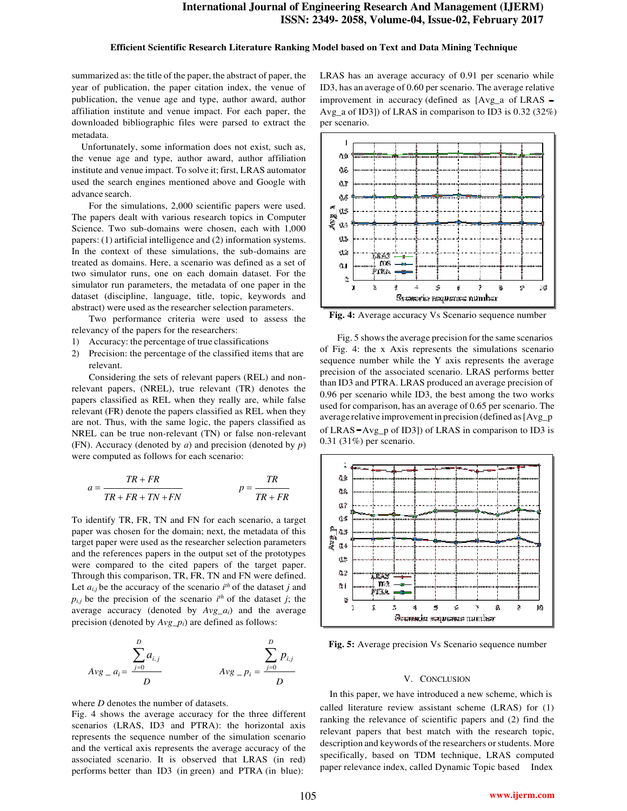#### **Efficient Scientific Research Literature Ranking Model based on Text and Data Mining Technique**

summarized as: the title of the paper, the abstract of paper, the year of publication, the paper citation index, the venue of publication, the venue age and type, author award, author affiliation institute and venue impact. For each paper, the downloaded bibliographic files were parsed to extract the metadata.

Unfortunately, some information does not exist, such as, the venue age and type, author award, author affiliation institute and venue impact. To solve it; first, LRAS automator used the search engines mentioned above and Google with advance search.

For the simulations, 2,000 scientific papers were used. The papers dealt with various research topics in Computer Science. Two sub-domains were chosen, each with 1,000 papers: (1) artificial intelligence and (2) information systems. In the context of these simulations, the sub-domains are treated as domains. Here, a scenario was defined as a set of two simulator runs, one on each domain dataset. For the simulator run parameters, the metadata of one paper in the dataset (discipline, language, title, topic, keywords and abstract) were used as the researcher selection parameters.

Two performance criteria were used to assess the relevancy of the papers for the researchers:

- 1) Accuracy: the percentage of true classifications
- 2) Precision: the percentage of the classified items that are relevant.

Considering the sets of relevant papers (REL) and nonrelevant papers, (NREL), true relevant (TR) denotes the papers classified as REL when they really are, while false relevant (FR) denote the papers classified as REL when they are not. Thus, with the same logic, the papers classified as NREL can be true non-relevant (TN) or false non-relevant (FN). Accuracy (denoted by *a*) and precision (denoted by *p*) were computed as follows for each scenario:

$$
a = \frac{TR + FR}{TR + FR + TN + FN} \qquad p = \frac{TR}{TR + FR}
$$

To identify TR, FR, TN and FN for each scenario, a target paper was chosen for the domain; next, the metadata of this target paper were used as the researcher selection parameters and the references papers in the output set of the prototypes were compared to the cited papers of the target paper. Through this comparison, TR, FR, TN and FN were defined. Let  $a_{i,j}$  be the accuracy of the scenario  $i^{th}$  of the dataset *j* and  $p_{i,j}$  be the precision of the scenario  $i^{th}$  of the dataset *j*; the average accuracy (denoted by *Avg\_ai*) and the average precision (denoted by *Avg\_pi*) are defined as follows:

$$
Avg_{-}a_{i} = \frac{\sum_{j=0}^{D} a_{i,j}}{D}
$$
\n
$$
Avg_{-}p_{i} = \frac{\sum_{j=0}^{D} p_{i,j}}{D}
$$

where *D* denotes the number of datasets.

Fig. 4 shows the average accuracy for the three different scenarios (LRAS, ID3 and PTRA): the horizontal axis represents the sequence number of the simulation scenario and the vertical axis represents the average accuracy of the associated scenario. It is observed that LRAS (in red) performs better than ID3 (in green) and PTRA (in blue):

LRAS has an average accuracy of 0.91 per scenario while ID3, has an average of 0.60 per scenario. The average relative improvement in accuracy (defined as [Avg\_a of LRAS – Avg\_a of ID3]) of LRAS in comparison to ID3 is 0.32 (32%) per scenario.



**Fig. 4:** Average accuracy Vs Scenario sequence number

Fig. 5 shows the average precision for the same scenarios of Fig. 4: the x Axis represents the simulations scenario sequence number while the Y axis represents the average precision of the associated scenario. LRAS performs better than ID3 and PTRA. LRAS produced an average precision of 0.96 per scenario while ID3, the best among the two works used for comparison, has an average of 0.65 per scenario. The average relative improvement in precision (defined as [Avg\_p of LRAS  $-Avg$  p of ID3]) of LRAS in comparison to ID3 is 0.31 (31%) per scenario.



**Fig. 5:** Average precision Vs Scenario sequence number

#### V. CONCLUSION

In this paper, we have introduced a new scheme, which is called literature review assistant scheme (LRAS) for (1) ranking the relevance of scientific papers and (2) find the relevant papers that best match with the research topic, description and keywords of the researchers or students. More specifically, based on TDM technique, LRAS computed paper relevance index, called Dynamic Topic based Index